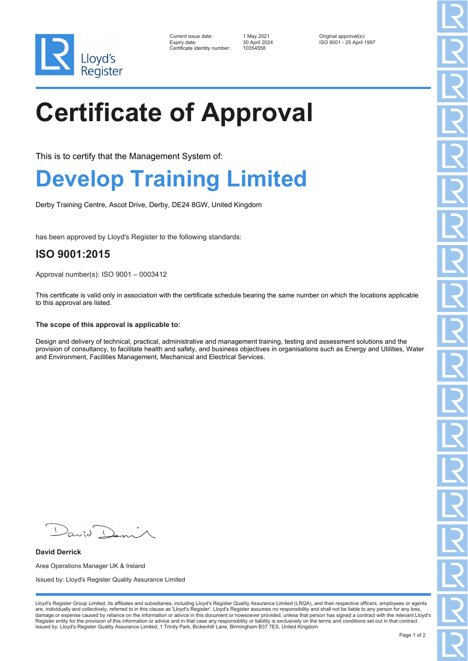

| Current issue date:          | 1 May 2021    | Original approval(s):    |
|------------------------------|---------------|--------------------------|
| Expiry date:                 | 30 April 2024 | ISO 9001 - 25 April 1997 |
| Certificate identity number: | 10354558      |                          |

# **Certificate of Approval**

This is to certify that the Management System of:

### **Develop Training Limited**

Derby Training Centre, Ascot Drive, Derby, DE24 8GW, United Kingdom

has been approved by Lloyd's Register to the following standards:

### **ISO 9001:2015**

Approval number(s): ISO 9001 – 0003412

This certificate is valid only in association with the certificate schedule bearing the same number on which the locations applicable to this approval are listed.

#### **The scope of this approval is applicable to:**

Design and delivery of technical, practical, administrative and management training, testing and assessment solutions and the provision of consultancy, to facilitate health and safety, and business objectives in organisations such as Energy and Utilities, Water and Environment, Facilities Management, Mechanical and Electrical Services.

**David Derrick** Area Operations Manager UK & Ireland Issued by: Lloyd's Register Quality Assurance Limited

Lloyd's Register Group Limited, its affiliates and subsidiaries, including Lloyd's Register Quality Assurance Limited (LRQA), and their respective officers, employees or agents are, individually and collectively, referred to in this clause as 'Lloyd's Register'. Lloyd's Register assumes no responsibility and shall not be liable to any person for any loss,<br>damage or expense caused by reliance on t Register entity for the provision of this information or advice and in that case any responsibility or liability is exclusively on the terms and conditions set out in that contract. Issued by: Lloyd's Register Quality Assurance Limited, 1 Trinity Park, Bickenhill Lane, Birmingham B37 7ES, United Kingdom